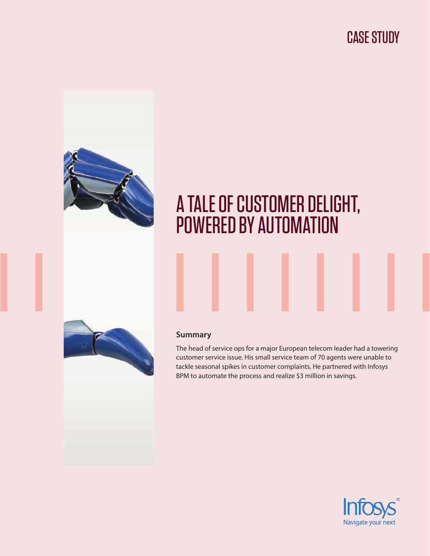CASE STUDY



# A TALE OF CUSTOMER DELIGHT, POWERED BY AUTOMATION



## **Summary**

The head of service ops for a major European telecom leader had a towering customer service issue. His small service team of 70 agents were unable to tackle seasonal spikes in customer complaints. He partnered with Infosys BPM to automate the process and realize \$3 million in savings.

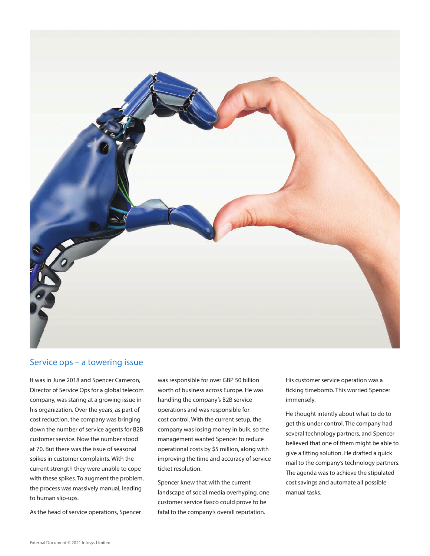

### Service ops – a towering issue

It was in June 2018 and Spencer Cameron, Director of Service Ops for a global telecom company, was staring at a growing issue in his organization. Over the years, as part of cost reduction, the company was bringing down the number of service agents for B2B customer service. Now the number stood at 70. But there was the issue of seasonal spikes in customer complaints. With the current strength they were unable to cope with these spikes. To augment the problem, the process was massively manual, leading to human slip-ups.

As the head of service operations, Spencer

was responsible for over GBP 50 billion worth of business across Europe. He was handling the company's B2B service operations and was responsible for cost control. With the current setup, the company was losing money in bulk, so the management wanted Spencer to reduce operational costs by \$5 million, along with improving the time and accuracy of service ticket resolution.

Spencer knew that with the current landscape of social media overhyping, one customer service fiasco could prove to be fatal to the company's overall reputation.

His customer service operation was a ticking timebomb. This worried Spencer immensely.

He thought intently about what to do to get this under control. The company had several technology partners, and Spencer believed that one of them might be able to give a fitting solution. He drafted a quick mail to the company's technology partners. The agenda was to achieve the stipulated cost savings and automate all possible manual tasks.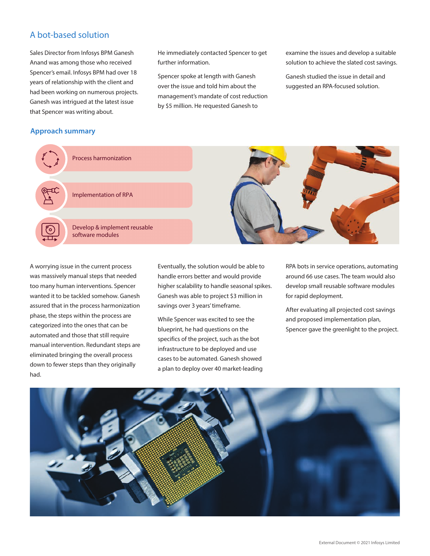# A bot-based solution

Sales Director from Infosys BPM Ganesh Anand was among those who received Spencer's email. Infosys BPM had over 18 years of relationship with the client and had been working on numerous projects. Ganesh was intrigued at the latest issue that Spencer was writing about.

He immediately contacted Spencer to get further information.

Spencer spoke at length with Ganesh over the issue and told him about the management's mandate of cost reduction by \$5 million. He requested Ganesh to

examine the issues and develop a suitable solution to achieve the slated cost savings.

Ganesh studied the issue in detail and suggested an RPA-focused solution.

#### **Approach summary**



A worrying issue in the current process was massively manual steps that needed too many human interventions. Spencer wanted it to be tackled somehow. Ganesh assured that in the process harmonization phase, the steps within the process are categorized into the ones that can be automated and those that still require manual intervention. Redundant steps are eliminated bringing the overall process down to fewer steps than they originally had.

Eventually, the solution would be able to handle errors better and would provide higher scalability to handle seasonal spikes. Ganesh was able to project \$3 million in savings over 3 years' timeframe.

While Spencer was excited to see the blueprint, he had questions on the specifics of the project, such as the bot infrastructure to be deployed and use cases to be automated. Ganesh showed a plan to deploy over 40 market-leading RPA bots in service operations, automating around 66 use cases. The team would also develop small reusable software modules for rapid deployment.

After evaluating all projected cost savings and proposed implementation plan, Spencer gave the greenlight to the project.